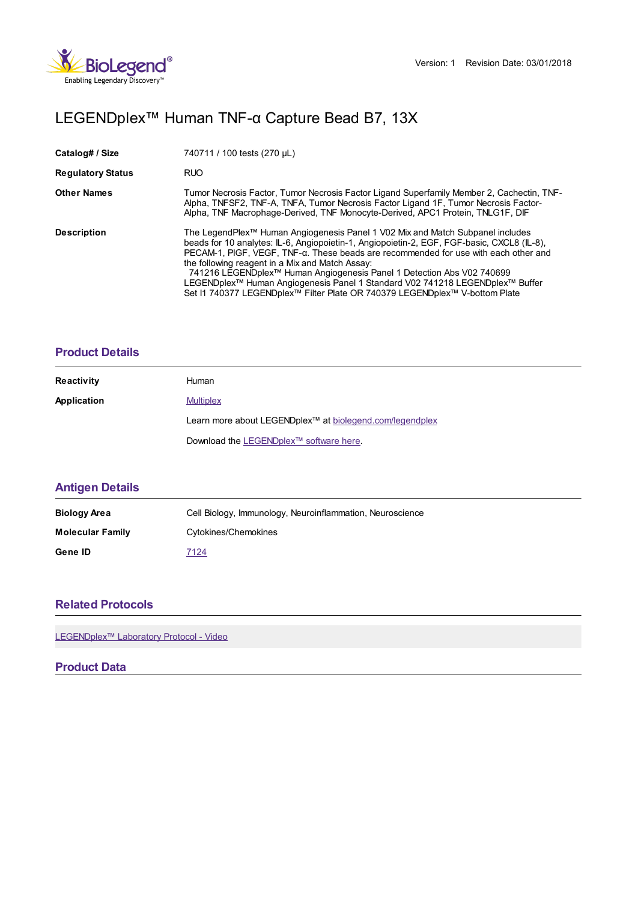

# LEGENDplex™ Human TNF-α Capture Bead B7, 13X

| Catalog# / Size          | 740711 / 100 tests (270 µL)                                                                                                                                                                                                                                                                                                                                                                                                                                                                                                                                                  |
|--------------------------|------------------------------------------------------------------------------------------------------------------------------------------------------------------------------------------------------------------------------------------------------------------------------------------------------------------------------------------------------------------------------------------------------------------------------------------------------------------------------------------------------------------------------------------------------------------------------|
| <b>Regulatory Status</b> | <b>RUO</b>                                                                                                                                                                                                                                                                                                                                                                                                                                                                                                                                                                   |
| <b>Other Names</b>       | Tumor Necrosis Factor, Tumor Necrosis Factor Ligand Superfamily Member 2, Cachectin, TNF-<br>Alpha, TNFSF2, TNF-A, TNFA, Tumor Necrosis Factor Ligand 1F, Tumor Necrosis Factor-<br>Alpha, TNF Macrophage-Derived, TNF Monocyte-Derived, APC1 Protein, TNLG1F, DIF                                                                                                                                                                                                                                                                                                           |
| <b>Description</b>       | The LegendPlex <sup>™</sup> Human Angiogenesis Panel 1 V02 Mix and Match Subpanel includes<br>beads for 10 analytes: IL-6, Angiopoietin-1, Angiopoietin-2, EGF, FGF-basic, CXCL8 (IL-8),<br>PECAM-1, PIGF, VEGF, TNF-a. These beads are recommended for use with each other and<br>the following reagent in a Mix and Match Assay:<br>741216 LEGENDplex™ Human Angiogenesis Panel 1 Detection Abs V02 740699<br>LEGENDplex™ Human Angiogenesis Panel 1 Standard V02 741218 LEGENDplex™ Buffer<br>Set I1 740377 LEGENDplex™ Filter Plate OR 740379 LEGENDplex™ V-bottom Plate |

#### **[Product](https://production-dynamicweb.biolegend.com/en-gb/products/legendplex-human-tnf-alpha-capture-bead-b7-15524?pdf=true&displayInline=true&leftRightMargin=15&topBottomMargin=15&filename=LEGENDplex%EF%BF%BD%EF%BF%BD%EF%BF%BD Human TNF-%EF%BF%BD%EF%BF%BD Capture Bead B7, 13X.pdf#productDetails) Details**

| <b>Reactivity</b> | Human                                                                |
|-------------------|----------------------------------------------------------------------|
| Application       | <b>Multiplex</b>                                                     |
|                   | Learn more about LEGENDplex <sup>™</sup> at biolegend.com/legendplex |
|                   | Download the LEGENDplex™ software here.                              |

## **[Antigen](https://production-dynamicweb.biolegend.com/en-gb/products/legendplex-human-tnf-alpha-capture-bead-b7-15524?pdf=true&displayInline=true&leftRightMargin=15&topBottomMargin=15&filename=LEGENDplex%EF%BF%BD%EF%BF%BD%EF%BF%BD Human TNF-%EF%BF%BD%EF%BF%BD Capture Bead B7, 13X.pdf#antigenDetails) Details**

| <b>Biology Area</b>     | Cell Biology, Immunology, Neuroinflammation, Neuroscience |
|-------------------------|-----------------------------------------------------------|
| <b>Molecular Family</b> | Cytokines/Chemokines                                      |
| Gene ID                 | 7124                                                      |

### **Related [Protocols](https://production-dynamicweb.biolegend.com/en-gb/products/legendplex-human-tnf-alpha-capture-bead-b7-15524?pdf=true&displayInline=true&leftRightMargin=15&topBottomMargin=15&filename=LEGENDplex%EF%BF%BD%EF%BF%BD%EF%BF%BD Human TNF-%EF%BF%BD%EF%BF%BD Capture Bead B7, 13X.pdf#productRelatedProtocols)**

LEGENDplex<sup>™</sup> Laboratory Protocol - Video

#### **Product Data**